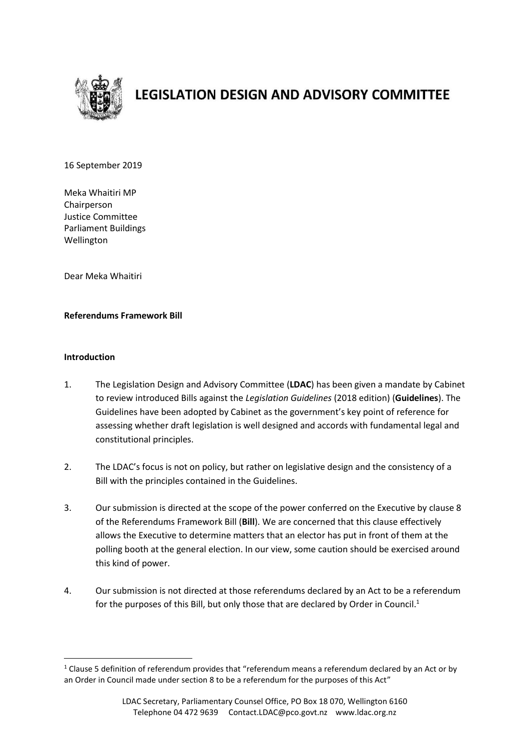

# **LEGISLATION DESIGN AND ADVISORY COMMITTEE**

16 September 2019

Meka Whaitiri MP Chairperson Justice Committee Parliament Buildings Wellington

Dear Meka Whaitiri

#### **Referendums Framework Bill**

#### **Introduction**

1

- 1. The Legislation Design and Advisory Committee (**LDAC**) has been given a mandate by Cabinet to review introduced Bills against the *Legislation Guidelines* (2018 edition) (**Guidelines**). The Guidelines have been adopted by Cabinet as the government's key point of reference for assessing whether draft legislation is well designed and accords with fundamental legal and constitutional principles.
- 2. The LDAC's focus is not on policy, but rather on legislative design and the consistency of a Bill with the principles contained in the Guidelines.
- 3. Our submission is directed at the scope of the power conferred on the Executive by clause 8 of the Referendums Framework Bill (**Bill**). We are concerned that this clause effectively allows the Executive to determine matters that an elector has put in front of them at the polling booth at the general election. In our view, some caution should be exercised around this kind of power.
- 4. Our submission is not directed at those referendums declared by an Act to be a referendum for the purposes of this Bill, but only those that are declared by Order in Council.<sup>1</sup>

 $1$  Clause 5 definition of referendum provides that "referendum means a referendum declared by an Act or by an Order in Council made under section 8 to be a referendum for the purposes of this Act"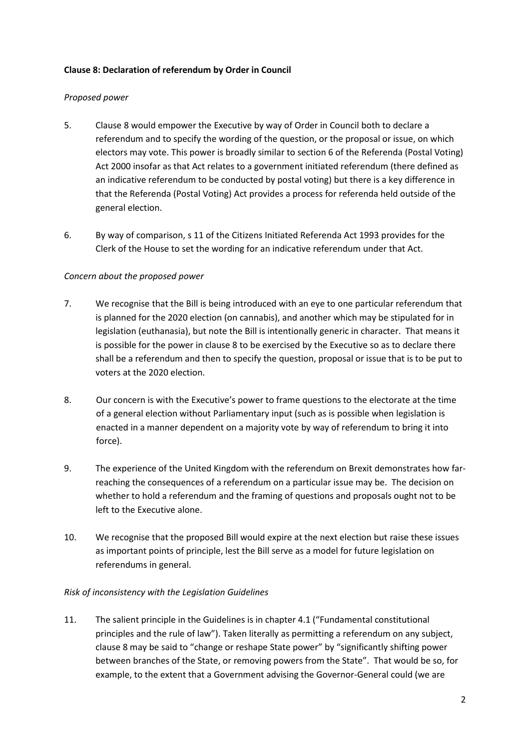# **Clause 8: Declaration of referendum by Order in Council**

#### *Proposed power*

- 5. Clause 8 would empower the Executive by way of Order in Council both to declare a referendum and to specify the wording of the question, or the proposal or issue, on which electors may vote. This power is broadly similar to section 6 of the Referenda (Postal Voting) Act 2000 insofar as that Act relates to a government initiated referendum (there defined as an indicative referendum to be conducted by postal voting) but there is a key difference in that the Referenda (Postal Voting) Act provides a process for referenda held outside of the general election.
- 6. By way of comparison, s 11 of the Citizens Initiated Referenda Act 1993 provides for the Clerk of the House to set the wording for an indicative referendum under that Act.

# *Concern about the proposed power*

- 7. We recognise that the Bill is being introduced with an eye to one particular referendum that is planned for the 2020 election (on cannabis), and another which may be stipulated for in legislation (euthanasia), but note the Bill is intentionally generic in character. That means it is possible for the power in clause 8 to be exercised by the Executive so as to declare there shall be a referendum and then to specify the question, proposal or issue that is to be put to voters at the 2020 election.
- 8. Our concern is with the Executive's power to frame questions to the electorate at the time of a general election without Parliamentary input (such as is possible when legislation is enacted in a manner dependent on a majority vote by way of referendum to bring it into force).
- 9. The experience of the United Kingdom with the referendum on Brexit demonstrates how farreaching the consequences of a referendum on a particular issue may be. The decision on whether to hold a referendum and the framing of questions and proposals ought not to be left to the Executive alone.
- 10. We recognise that the proposed Bill would expire at the next election but raise these issues as important points of principle, lest the Bill serve as a model for future legislation on referendums in general.

#### *Risk of inconsistency with the Legislation Guidelines*

11. The salient principle in the Guidelines is in chapter 4.1 ("Fundamental constitutional principles and the rule of law"). Taken literally as permitting a referendum on any subject, clause 8 may be said to "change or reshape State power" by "significantly shifting power between branches of the State, or removing powers from the State". That would be so, for example, to the extent that a Government advising the Governor-General could (we are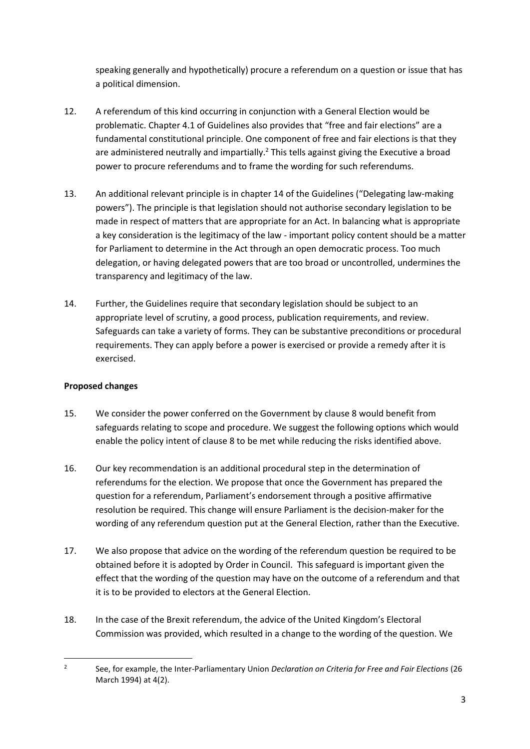speaking generally and hypothetically) procure a referendum on a question or issue that has a political dimension.

- 12. A referendum of this kind occurring in conjunction with a General Election would be problematic. Chapter 4.1 of Guidelines also provides that "free and fair elections" are a fundamental constitutional principle. One component of free and fair elections is that they are administered neutrally and impartially.<sup>2</sup> This tells against giving the Executive a broad power to procure referendums and to frame the wording for such referendums.
- 13. An additional relevant principle is in chapter 14 of the Guidelines ("Delegating law-making powers"). The principle is that legislation should not authorise secondary legislation to be made in respect of matters that are appropriate for an Act. In balancing what is appropriate a key consideration is the legitimacy of the law - important policy content should be a matter for Parliament to determine in the Act through an open democratic process. Too much delegation, or having delegated powers that are too broad or uncontrolled, undermines the transparency and legitimacy of the law.
- 14. Further, the Guidelines require that secondary legislation should be subject to an appropriate level of scrutiny, a good process, publication requirements, and review. Safeguards can take a variety of forms. They can be substantive preconditions or procedural requirements. They can apply before a power is exercised or provide a remedy after it is exercised.

# **Proposed changes**

- 15. We consider the power conferred on the Government by clause 8 would benefit from safeguards relating to scope and procedure. We suggest the following options which would enable the policy intent of clause 8 to be met while reducing the risks identified above.
- 16. Our key recommendation is an additional procedural step in the determination of referendums for the election. We propose that once the Government has prepared the question for a referendum, Parliament's endorsement through a positive affirmative resolution be required. This change will ensure Parliament is the decision-maker for the wording of any referendum question put at the General Election, rather than the Executive.
- 17. We also propose that advice on the wording of the referendum question be required to be obtained before it is adopted by Order in Council. This safeguard is important given the effect that the wording of the question may have on the outcome of a referendum and that it is to be provided to electors at the General Election.
- 18. In the case of the Brexit referendum, the advice of the United Kingdom's Electoral Commission was provided, which resulted in a change to the wording of the question. We

 $\frac{1}{2}$ See, for example, the Inter-Parliamentary Union *Declaration on Criteria for Free and Fair Elections* (26 March 1994) at 4(2).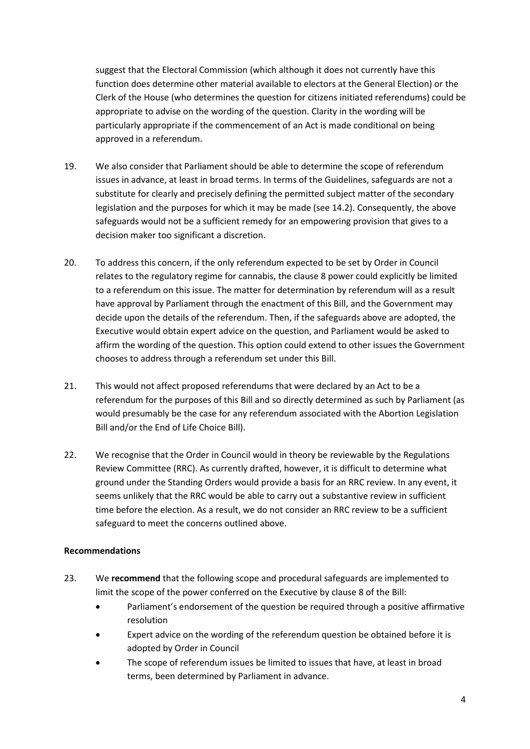suggest that the Electoral Commission (which although it does not currently have this function does determine other material available to electors at the General Election) or the Clerk of the House (who determines the question for citizens initiated referendums) could be appropriate to advise on the wording of the question. Clarity in the wording will be particularly appropriate if the commencement of an Act is made conditional on being approved in a referendum.

- 19. We also consider that Parliament should be able to determine the scope of referendum issues in advance, at least in broad terms. In terms of the Guidelines, safeguards are not a substitute for clearly and precisely defining the permitted subject matter of the secondary legislation and the purposes for which it may be made (see 14.2). Consequently, the above safeguards would not be a sufficient remedy for an empowering provision that gives to a decision maker too significant a discretion.
- 20. To address this concern, if the only referendum expected to be set by Order in Council relates to the regulatory regime for cannabis, the clause 8 power could explicitly be limited to a referendum on this issue. The matter for determination by referendum will as a result have approval by Parliament through the enactment of this Bill, and the Government may decide upon the details of the referendum. Then, if the safeguards above are adopted, the Executive would obtain expert advice on the question, and Parliament would be asked to affirm the wording of the question. This option could extend to other issues the Government chooses to address through a referendum set under this Bill.
- 21. This would not affect proposed referendums that were declared by an Act to be a referendum for the purposes of this Bill and so directly determined as such by Parliament (as would presumably be the case for any referendum associated with the Abortion Legislation Bill and/or the End of Life Choice Bill).
- 22. We recognise that the Order in Council would in theory be reviewable by the Regulations Review Committee (RRC). As currently drafted, however, it is difficult to determine what ground under the Standing Orders would provide a basis for an RRC review. In any event, it seems unlikely that the RRC would be able to carry out a substantive review in sufficient time before the election. As a result, we do not consider an RRC review to be a sufficient safeguard to meet the concerns outlined above.

# **Recommendations**

- 23. We **recommend** that the following scope and procedural safeguards are implemented to limit the scope of the power conferred on the Executive by clause 8 of the Bill:
	- Parliament's endorsement of the question be required through a positive affirmative resolution
	- Expert advice on the wording of the referendum question be obtained before it is adopted by Order in Council
	- The scope of referendum issues be limited to issues that have, at least in broad terms, been determined by Parliament in advance.